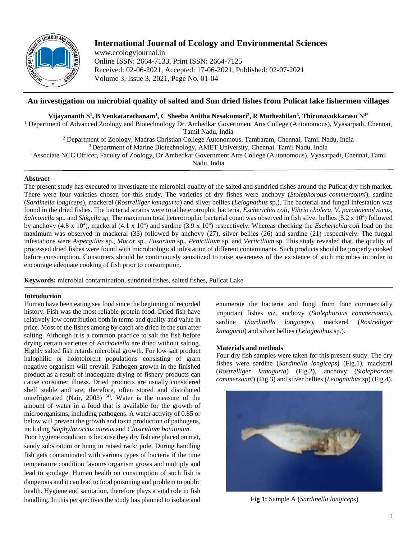

# **International Journal of Ecology and Environmental Sciences**

www.ecologyjournal.in Online ISSN: 2664-7133, Print ISSN: 2664-7125 Received: 02-06-2021, Accepted: 17-06-2021, Published: 02-07-2021 Volume 3, Issue 3, 2021, Page No. 01-04

## **An investigation on microbial quality of salted and Sun dried fishes from Pulicat lake fishermen villages**

## **Vijayananth S<sup>1</sup> , B Venkatarathanam<sup>1</sup> , C Sheeba Anitha Nesakumari<sup>2</sup> , R Muthezhilan<sup>3</sup> , Thirunavukkarasu N4\***

<sup>1</sup> Department of Advanced Zoology and Biotechnology Dr. Ambedkar Government Arts College (Autonomous), Vyasarpadi, Chennai, Tamil Nadu, India

<sup>2</sup> Department of Zoology, Madras Christian College Autonomous, Tambaram, Chennai, Tamil Nadu, India

<sup>3</sup> Department of Marine Biotechnology, AMET University, Chennai, Tamil Nadu, India

<sup>4</sup>Associate NCC Officer, Faculty of Zoology, Dr Ambedkar Government Arts College (Autonomous), Vyasarpadi, Chennai, Tamil

Nadu, India

## **Abstract**

The present study has executed to investigate the microbial quality of the salted and sundried fishes around the Pulicat dry fish market. There were four varieties chosen for this study. The varieties of dry fishes were anchovy (*Stolephorous commersonni*), sardine (*Sardinella longiceps*), mackerel (*Rostrelliger kanagurta*) and silver bellies (*Leiognathus* sp.). The bacterial and fungal infestation was found in the dried fishes. The bacterial strains were total heterotrophic bacteria, *Escherichia coli, Vibrio cholera, V. parahaemolyticus,*  Salmonella sp., and *Shigella sp*. The maximum total heterotrophic bacterial count was observed in fish silver bellies (5.2 x 10<sup>4</sup>) followed by anchovy (4.8 x 10<sup>4</sup>), mackeral (4.1 x 10<sup>4</sup>) and sardine (3.9 x 10<sup>4</sup>) respectively. Whereas checking the *Escherichia coli* load on the maximum was observed in mackeral (33) followed by anchovy (27), silver bellies (26) and sardine (21) respectively. The fungal infestations were *Aspergillus* sp*., Mucor* sp*., Fusarium* sp*., Penicillium* sp*.* and *Verticilium* sp. This study revealed that, the quality of processed dried fishes were found with microbiological infestation of different contaminants. Such products should be properly cooked before consumption. Consumers should be continuously sensitized to raise awareness of the existence of such microbes in order to encourage adequate cooking of fish prior to consumption.

**Keywords:** microbial contamination, sundried fishes, salted fishes, Pulicat Lake

## **Introduction**

Human have been eating sea food since the beginning of recorded history. Fish was the most reliable protein food. Dried fish have relatively low contribution both in terms and quality and value in price. Most of the fishes among by catch are dried in the sun after salting. Although it is a common practice to salt the fish before drying certain varieties of *Anchoviella* are dried without salting. Highly salted fish retards microbial growth. For low salt product halophilic or holotolorent populations consisting of gram negative organism will prevail. Pathogen growth in the finished product as a result of inadequate drying of fishery products can cause consumer illness. Dried products are usually considered shelf stable and are, therefore, often stored and distributed unrefrigerated (Nair, 2003)<sup>[4]</sup>. Water is the measure of the amount of water in a food that is available for the growth of microorganisms, including pathogens. A water activity of 0.85 or below will prevent the growth and toxin production of pathogens, including *Staphylococcus aureus* and *Clostridium botulinum*.

Poor hygiene condition is because they dry fish are placed on mat, sandy substratum or hung in raised rack/ pole. During handling fish gets contaminated with various types of bacteria if the time temperature condition favours organism grows and multiply and lead to spoilage. Human health on consumption of such fish is dangerous and it can lead to food poisoning and problem to public health. Hygiene and sanitation, therefore plays a vital role in fish handling. In this perspectives the study has planned to isolate and enumerate the bacteria and fungi from four commercially important fishes *viz*, anchovy (*Stolephorous commersonni*), sardine (*Sardinella longiceps*), mackerel (*Rostrelliger kanagurta*) and silver bellies (*Leiognathus* sp.).

## **Materials and methods**

Four dry fish samples were taken for this present study. The dry fishes were sardine (*Sardinella longiceps*) (Fig.1), mackerel (*Rostrelliger kanagurta*) (Fig.2), anchovy (*Stolephorous commersonni*) (Fig.3) and silver bellies (*Leiognathus* sp) (Fig.4).



**Fig 1:** Sample A (*Sardinella longiceps*)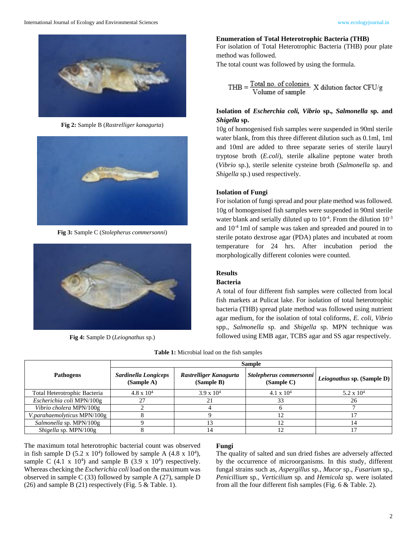

**Fig 2:** Sample B (*Rastrelliger kanagurta*)



**Fig 3:** Sample C (*Stolepherus commersonni*)



**Fig 4:** Sample D (*Leiognathus* sp.)

#### **Enumeration of Total Heterotrophic Bacteria (THB)**

For isolation of Total Heterotrophic Bacteria (THB) pour plate method was followed.

The total count was followed by using the formula.

$$
THB = \frac{Total\ no.\ of\ colonies}{Volume\ of\ sample}
$$
 X dilution factor CFU/g

## **Isolation of** *Escherchia coli, Vibrio* **sp.***, Salmonella* **sp. and**  *Shigella* **sp.**

10g of homogenised fish samples were suspended in 90ml sterile water blank, from this three different dilution such as 0.1ml, 1ml and 10ml are added to three separate series of sterile lauryl tryptose broth (*E.coli*), sterile alkaline peptone water broth (*Vibrio* sp.), sterile selenite cysteine broth (*Salmonella* sp. and *Shigella* sp.) used respectively.

#### **Isolation of Fungi**

For isolation of fungi spread and pour plate method was followed. 10g of homogenised fish samples were suspended in 90ml sterile water blank and serially diluted up to  $10^{-4}$ . From the dilution  $10^{-3}$ and 10-4 1ml of sample was taken and spreaded and poured in to sterile potato dextrose agar (PDA) plates and incubated at room temperature for 24 hrs. After incubation period the morphologically different colonies were counted.

#### **Results**

#### **Bacteria**

A total of four different fish samples were collected from local fish markets at Pulicat lake. For isolation of total heterotrophic bacteria (THB) spread plate method was followed using nutrient agar medium, for the isolation of total coliforms, *E. coli*, *Vibrio*  spp., *Salmonella* sp. and *Shigella* sp. MPN technique was followed using EMB agar, TCBS agar and SS agar respectively.

|  |  | Table 1: Microbial load on the fish samples |  |  |  |  |  |
|--|--|---------------------------------------------|--|--|--|--|--|
|--|--|---------------------------------------------|--|--|--|--|--|

|                                  | <b>Sample</b>                      |                                      |                                       |                                   |  |  |
|----------------------------------|------------------------------------|--------------------------------------|---------------------------------------|-----------------------------------|--|--|
| <b>Pathogens</b>                 | Sardinella Longiceps<br>(Sample A) | Rastrelliger Kanagurta<br>(Sample B) | Stolepherus commersonni<br>(Sample C) | <i>Leiognathus</i> sp. (Sample D) |  |  |
| Total Heterotrophic Bacteria     | $4.8 \times 10^{4}$                | $3.9 \times 10^{4}$                  | $4.1 \times 10^{4}$                   | 5.2 x $10^4$                      |  |  |
| Escherichia coli MPN/100g        |                                    | 21                                   | 33                                    | 26                                |  |  |
| Vibrio cholera MPN/100g          |                                    |                                      |                                       |                                   |  |  |
| V.parahaemolyticus MPN/100g      |                                    |                                      | 12                                    |                                   |  |  |
| Salmonella sp. MPN/100g          |                                    |                                      |                                       |                                   |  |  |
| $\textit{Shigella}$ sp. MPN/100g |                                    |                                      |                                       |                                   |  |  |

The maximum total heterotrophic bacterial count was observed in fish sample D  $(5.2 \times 10^4)$  followed by sample A  $(4.8 \times 10^4)$ , sample C  $(4.1 \times 10^4)$  and sample B  $(3.9 \times 10^4)$  respectively. Whereas checking the *Escherichia coli* load on the maximum was observed in sample C (33) followed by sample A (27), sample D (26) and sample B (21) respectively (Fig.  $5 \&$  Table. 1).

#### **Fungi**

The quality of salted and sun dried fishes are adversely affected by the occurrence of microorganisms. In this study, different fungal strains such as, *Aspergillus* sp., *Mucor* sp., *Fusarium* sp., *Penicillium* sp., *Verticilium* sp. and *Hemicola* sp. were isolated from all the four different fish samples (Fig. 6 & Table. 2).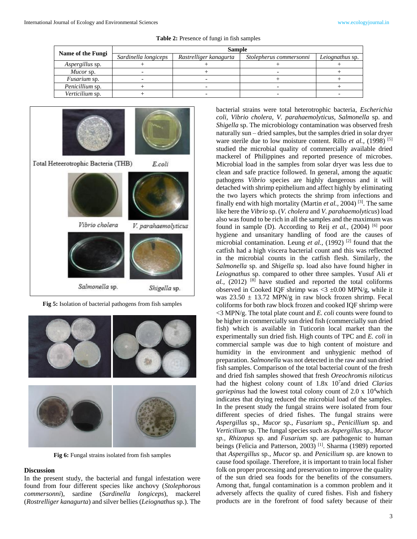| Name of the Fungi   | <b>Sample</b>        |                                                   |  |                 |  |  |
|---------------------|----------------------|---------------------------------------------------|--|-----------------|--|--|
|                     | Sardinella longiceps | Rastrelliger kanagurta<br>Stolepherus commersonni |  | Leiognathus sp. |  |  |
| Aspergillus sp.     |                      |                                                   |  |                 |  |  |
| Mucor sp.           |                      |                                                   |  |                 |  |  |
| <i>Fusarium</i> sp. |                      |                                                   |  |                 |  |  |
| Penicillium sp.     |                      |                                                   |  |                 |  |  |
| Verticilium sp.     |                      |                                                   |  |                 |  |  |

**Table 2:** Presence of fungi in fish samples



**Fig 5:** Isolation of bacterial pathogens from fish samples



**Fig 6:** Fungal strains isolated from fish samples

#### **Discussion**

In the present study, the bacterial and fungal infestation were found from four different species like anchovy (*Stolephorous commersonni*), sardine (*Sardinella longiceps*), mackerel (*Rostrelliger kanagurta*) and silver bellies (*Leiognathus* sp.). The

bacterial strains were total heterotrophic bacteria, *Escherichia coli, Vibrio cholera, V. parahaemolyticus, Salmonella* sp. and *Shigella* sp. The microbiology contamination was observed fresh naturally sun – dried samples, but the samples dried in solar dryer ware sterile due to low moisture content. Rillo *et al.*, (1998)<sup>[5]</sup> studied the microbial quality of commercially available dried mackerel of Philippines and reported presence of microbes. Microbial load in the samples from solar dryer was less due to clean and safe practice followed. In general, among the aquatic pathogens *Vibrio* species are highly dangerous and it will detached with shrimp epithelium and affect highly by eliminating the two layers which protects the shrimp from infections and finally end with high mortality (Martin *et al.,* 2004) [3]. The same like here the *Vibrio* sp. (*V. cholera* and *V. parahaemolyticus*) load also was found to be rich in all the samples and the maximum was found in sample (D). According to Reij *et al.,* (2004) [6] poor hygiene and unsanitary handling of food are the causes of microbial contamination. Leung *et al.,* (1992) [2] found that the catfish had a high viscera bacterial count and this was reflected in the microbial counts in the catfish flesh. Similarly, the *Salmonella* sp. and *Shigella* sp. load also have found higher in *Leiognathus* sp. compared to other three samples. Yusuf Ali *et*   $al$ ,  $(2012)$  <sup>[8]</sup> have studied and reported the total coliforms observed in Cooked IQF shrimp was  $<$  3  $\pm$ 0.00 MPN/g, while it was  $23.50 \pm 13.72$  MPN/g in raw block frozen shrimp. Fecal coliforms for both raw block frozen and cooked IQF shrimp were <3 MPN/g. The total plate count and *E. coli* counts were found to be higher in commercially sun dried fish (commercially sun dried fish) which is available in Tuticorin local market than the experimentally sun dried fish. High counts of TPC and *E. coli* in commercial sample was due to high content of moisture and humidity in the environment and unhygienic method of preparation. *Salmonella* was not detected in the raw and sun dried fish samples. Comparison of the total bacterial count of the fresh and dried fish samples showed that fresh *Oreochromis niloticus* had the highest colony count of 1.8x 10<sup>7</sup> and dried *Clarias gariepinus* had the lowest total colony count of 2.0 x 10<sup>4</sup>which indicates that drying reduced the microbial load of the samples. In the present study the fungal strains were isolated from four different species of dried fishes. The fungal strains were *Aspergillus* sp., *Mucor* sp., *Fusarium* sp., *Penicillium* sp. and *Verticilium* sp. The fungal species such as *Aspergillus* sp., *Mucor sp., Rhizopus* sp. and *Fusarium* sp. are pathogenic to human beings (Felicia and Patterson, 2003)<sup>[1]</sup>. Sharma (1989) reported that *Aspergillus* sp.*, Mucor* sp. and *Penicilium* sp. are known to cause food spoilage. Therefore, it is important to train local fisher folk on proper processing and preservation to improve the quality of the sun dried sea foods for the benefits of the consumers. Among that, fungal contamination is a common problem and it adversely affects the quality of cured fishes. Fish and fishery products are in the forefront of food safety because of their